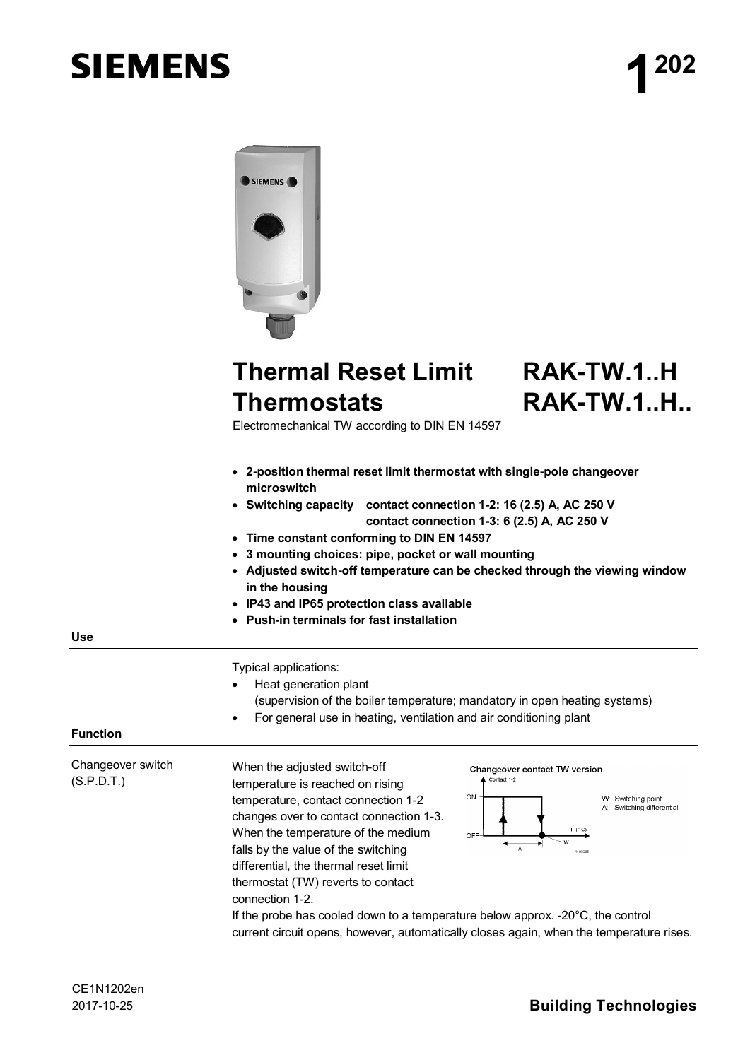# **SIEMENS**



## **Thermal Reset Limit Thermostats**

### **RAK-TW.1..H RAK-TW.1..H..**

Electromechanical TW according to DIN EN 14597

| <b>Use</b>                      | • 2-position thermal reset limit thermostat with single-pole changeover<br>microswitch<br>Switching capacity contact connection 1-2: 16 (2.5) A, AC 250 V<br>$\bullet$<br>contact connection 1-3: 6 (2.5) A, AC 250 V<br>Time constant conforming to DIN EN 14597<br>$\bullet$<br>3 mounting choices: pipe, pocket or wall mounting<br>٠<br>Adjusted switch-off temperature can be checked through the viewing window<br>in the housing<br>IP43 and IP65 protection class available<br><b>Push-in terminals for fast installation</b>                                                                                                                      |
|---------------------------------|------------------------------------------------------------------------------------------------------------------------------------------------------------------------------------------------------------------------------------------------------------------------------------------------------------------------------------------------------------------------------------------------------------------------------------------------------------------------------------------------------------------------------------------------------------------------------------------------------------------------------------------------------------|
| <b>Function</b>                 | Typical applications:<br>Heat generation plant<br>(supervision of the boiler temperature; mandatory in open heating systems)<br>For general use in heating, ventilation and air conditioning plant                                                                                                                                                                                                                                                                                                                                                                                                                                                         |
| Changeover switch<br>(S.P.D.T.) | When the adjusted switch-off<br><b>Changeover contact TW version</b><br>Contact 1-2<br>temperature is reached on rising<br>ON<br>temperature, contact connection 1-2<br>W. Switching point<br>A: Switching differential<br>changes over to contact connection 1-3.<br>T (°C)<br>When the temperature of the medium<br>OFF<br>falls by the value of the switching<br>1187S05<br>differential, the thermal reset limit<br>thermostat (TW) reverts to contact<br>connection 1-2.<br>If the probe has cooled down to a temperature below approx. -20°C, the control<br>current circuit opens, however, automatically closes again, when the temperature rises. |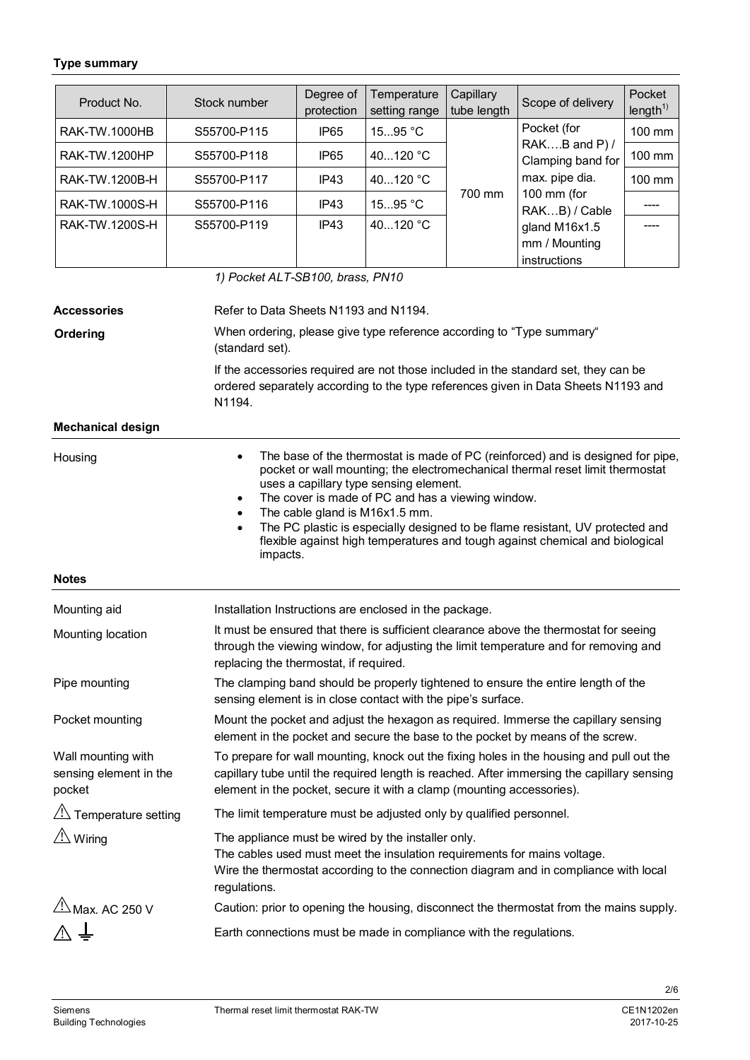#### **Type summary**

| Product No.                      | Stock number                                                                        | Degree of<br>protection                                               | Temperature<br>setting range | Capillary<br>tube length | Scope of delivery                                                                                                                                     | Pocket<br>length <sup>1</sup> |
|----------------------------------|-------------------------------------------------------------------------------------|-----------------------------------------------------------------------|------------------------------|--------------------------|-------------------------------------------------------------------------------------------------------------------------------------------------------|-------------------------------|
| RAK-TW.1000HB                    | S55700-P115                                                                         | IP65                                                                  | 1595 °C                      | 700 mm                   | Pocket (for<br>RAKB and P) /<br>Clamping band for<br>max. pipe dia.<br>100 mm (for<br>RAKB) / Cable<br>gland M16x1.5<br>mm / Mounting<br>instructions | 100 mm                        |
| <b>RAK-TW.1200HP</b>             | S55700-P118                                                                         | IP65                                                                  | 40120 °C                     |                          |                                                                                                                                                       | $100$ mm                      |
| RAK-TW.1200B-H                   | S55700-P117                                                                         | IP43                                                                  | 40120 °C                     |                          |                                                                                                                                                       | 100 mm                        |
| RAK-TW.1000S-H                   | S55700-P116                                                                         | IP43                                                                  | 1595 °C                      |                          |                                                                                                                                                       |                               |
| RAK-TW.1200S-H                   | S55700-P119                                                                         | IP43                                                                  | 40120 °C                     |                          |                                                                                                                                                       |                               |
| 1) Pocket ALT-SB100, brass, PN10 |                                                                                     |                                                                       |                              |                          |                                                                                                                                                       |                               |
| <b>Accessories</b>               |                                                                                     | Refer to Data Sheets N1193 and N1194.                                 |                              |                          |                                                                                                                                                       |                               |
| Ordering                         | (standard set).                                                                     | When ordering, please give type reference according to "Type summary" |                              |                          |                                                                                                                                                       |                               |
|                                  | If the accessories required are not those included in the standard set, they can be |                                                                       |                              |                          |                                                                                                                                                       |                               |

ordered separately according to the type references given in Data Sheets N1193 and N1194.

| <b>Mechanical design</b>                               |                                                                                                                                                                                                                                                                                                                                                                                                                                                                                                                                    |  |
|--------------------------------------------------------|------------------------------------------------------------------------------------------------------------------------------------------------------------------------------------------------------------------------------------------------------------------------------------------------------------------------------------------------------------------------------------------------------------------------------------------------------------------------------------------------------------------------------------|--|
| Housing                                                | The base of the thermostat is made of PC (reinforced) and is designed for pipe,<br>$\bullet$<br>pocket or wall mounting; the electromechanical thermal reset limit thermostat<br>uses a capillary type sensing element.<br>The cover is made of PC and has a viewing window.<br>$\bullet$<br>The cable gland is M16x1.5 mm.<br>$\bullet$<br>The PC plastic is especially designed to be flame resistant, UV protected and<br>$\bullet$<br>flexible against high temperatures and tough against chemical and biological<br>impacts. |  |
| <b>Notes</b>                                           |                                                                                                                                                                                                                                                                                                                                                                                                                                                                                                                                    |  |
| Mounting aid                                           | Installation Instructions are enclosed in the package.                                                                                                                                                                                                                                                                                                                                                                                                                                                                             |  |
| Mounting location                                      | It must be ensured that there is sufficient clearance above the thermostat for seeing<br>through the viewing window, for adjusting the limit temperature and for removing and<br>replacing the thermostat, if required.                                                                                                                                                                                                                                                                                                            |  |
| Pipe mounting                                          | The clamping band should be properly tightened to ensure the entire length of the<br>sensing element is in close contact with the pipe's surface.                                                                                                                                                                                                                                                                                                                                                                                  |  |
| Pocket mounting                                        | Mount the pocket and adjust the hexagon as required. Immerse the capillary sensing<br>element in the pocket and secure the base to the pocket by means of the screw.                                                                                                                                                                                                                                                                                                                                                               |  |
| Wall mounting with<br>sensing element in the<br>pocket | To prepare for wall mounting, knock out the fixing holes in the housing and pull out the<br>capillary tube until the required length is reached. After immersing the capillary sensing<br>element in the pocket, secure it with a clamp (mounting accessories).                                                                                                                                                                                                                                                                    |  |
| $\sqrt{2}$ Temperature setting                         | The limit temperature must be adjusted only by qualified personnel.                                                                                                                                                                                                                                                                                                                                                                                                                                                                |  |
| $\sqrt{N}$ Wiring                                      | The appliance must be wired by the installer only.<br>The cables used must meet the insulation requirements for mains voltage.<br>Wire the thermostat according to the connection diagram and in compliance with local<br>regulations.                                                                                                                                                                                                                                                                                             |  |
| $\frac{\sqrt{1}}{2}$ Max. AC 250 V                     | Caution: prior to opening the housing, disconnect the thermostat from the mains supply.                                                                                                                                                                                                                                                                                                                                                                                                                                            |  |
|                                                        | Earth connections must be made in compliance with the regulations.                                                                                                                                                                                                                                                                                                                                                                                                                                                                 |  |

2/6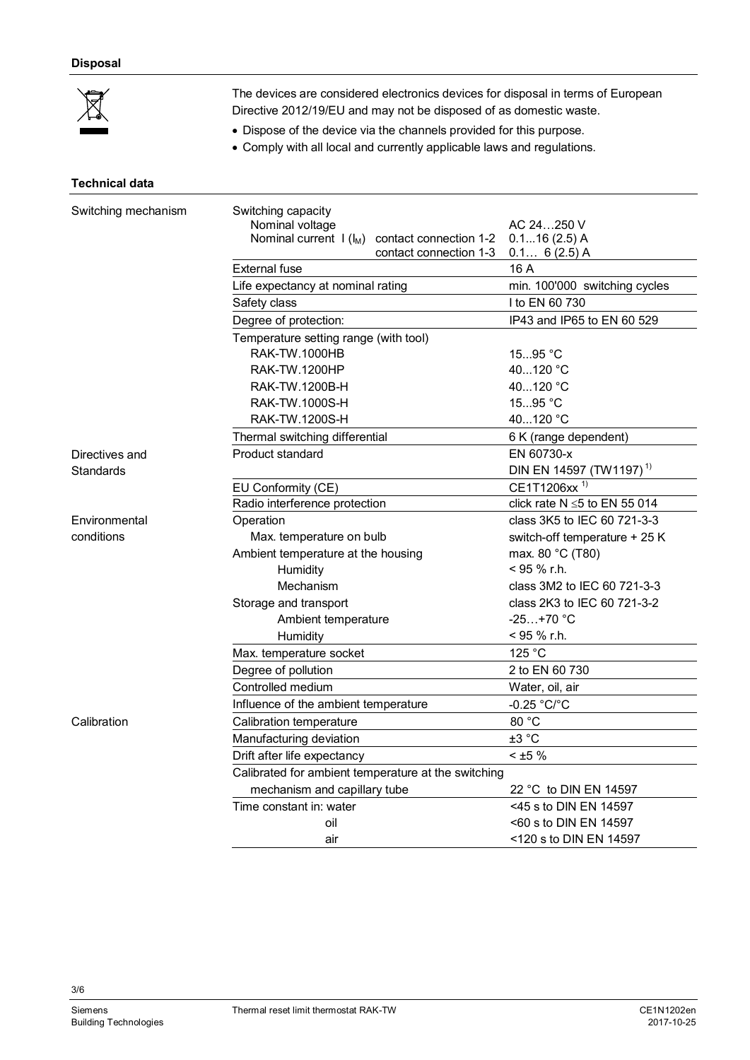|                             | The devices are considered electronics devices for disposal in terms of European<br>Directive 2012/19/EU and may not be disposed of as domestic waste. |                                                                                                   |  |  |  |
|-----------------------------|--------------------------------------------------------------------------------------------------------------------------------------------------------|---------------------------------------------------------------------------------------------------|--|--|--|
|                             | • Dispose of the device via the channels provided for this purpose.<br>• Comply with all local and currently applicable laws and regulations.          |                                                                                                   |  |  |  |
| <b>Technical data</b>       |                                                                                                                                                        |                                                                                                   |  |  |  |
| Switching mechanism         | Switching capacity<br>Nominal voltage<br>Nominal current $I(I_M)$ contact connection 1-2<br>contact connection 1-3                                     | AC 24250 V<br>$0.116(2.5)$ A<br>$0.1 6(2.5)$ A                                                    |  |  |  |
|                             | <b>External fuse</b>                                                                                                                                   | 16 A                                                                                              |  |  |  |
|                             | Life expectancy at nominal rating                                                                                                                      | min. 100'000 switching cycles                                                                     |  |  |  |
|                             | Safety class                                                                                                                                           | I to EN 60 730                                                                                    |  |  |  |
|                             | Degree of protection:                                                                                                                                  | IP43 and IP65 to EN 60 529                                                                        |  |  |  |
|                             | Temperature setting range (with tool)<br><b>RAK-TW.1000HB</b><br>RAK-TW.1200HP<br>RAK-TW.1200B-H<br>RAK-TW.1000S-H                                     | 1595 °C<br>40120 °C<br>40120 °C<br>1595 °C                                                        |  |  |  |
|                             | RAK-TW.1200S-H                                                                                                                                         | 40120 °C                                                                                          |  |  |  |
|                             | Thermal switching differential                                                                                                                         | 6 K (range dependent)                                                                             |  |  |  |
| Directives and<br>Standards | Product standard                                                                                                                                       | EN 60730-x<br>DIN EN 14597 (TW1197) <sup>1)</sup>                                                 |  |  |  |
|                             | EU Conformity (CE)                                                                                                                                     | CE1T1206xx <sup>1)</sup>                                                                          |  |  |  |
|                             | Radio interference protection                                                                                                                          | click rate $N \le 5$ to EN 55 014                                                                 |  |  |  |
| Environmental               | Operation                                                                                                                                              | class 3K5 to IEC 60 721-3-3                                                                       |  |  |  |
| conditions                  | Max. temperature on bulb<br>Ambient temperature at the housing<br>Humidity<br>Mechanism                                                                | switch-off temperature + 25 K<br>max. 80 °C (T80)<br>$<$ 95 % r.h.<br>class 3M2 to IEC 60 721-3-3 |  |  |  |
|                             | Storage and transport                                                                                                                                  | class 2K3 to IEC 60 721-3-2                                                                       |  |  |  |
|                             | Ambient temperature                                                                                                                                    | $-25+70 °C$                                                                                       |  |  |  |
|                             | Humidity                                                                                                                                               | < 95 % r.h.                                                                                       |  |  |  |
|                             | Max. temperature socket                                                                                                                                | 125 °C                                                                                            |  |  |  |
|                             | Degree of pollution                                                                                                                                    | 2 to EN 60 730                                                                                    |  |  |  |
|                             | Controlled medium                                                                                                                                      | Water, oil, air                                                                                   |  |  |  |
|                             | Influence of the ambient temperature                                                                                                                   | -0.25 °C/°C                                                                                       |  |  |  |
| Calibration                 | Calibration temperature                                                                                                                                | 80 °C                                                                                             |  |  |  |
|                             | Manufacturing deviation                                                                                                                                | ±3 °C                                                                                             |  |  |  |
|                             | Drift after life expectancy                                                                                                                            | $< 15 \%$                                                                                         |  |  |  |
|                             | Calibrated for ambient temperature at the switching                                                                                                    |                                                                                                   |  |  |  |
|                             | mechanism and capillary tube<br>22 °C to DIN EN 14597                                                                                                  |                                                                                                   |  |  |  |
|                             | Time constant in: water                                                                                                                                | <45 s to DIN EN 14597                                                                             |  |  |  |
|                             | oil                                                                                                                                                    | <60 s to DIN EN 14597                                                                             |  |  |  |
|                             | air                                                                                                                                                    | <120 s to DIN EN 14597                                                                            |  |  |  |

3/6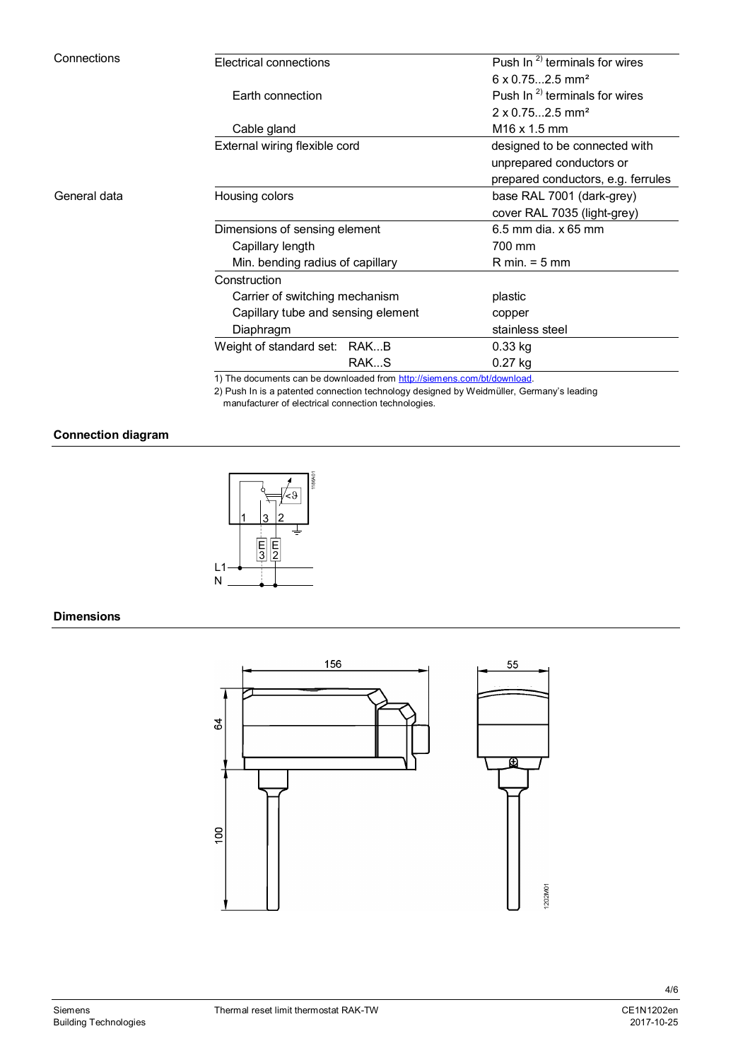| Connections  |                                                                    |                                           |  |  |  |  |
|--------------|--------------------------------------------------------------------|-------------------------------------------|--|--|--|--|
|              | Electrical connections                                             | Push In <sup>2)</sup> terminals for wires |  |  |  |  |
|              |                                                                    | 6 x 0.752.5 mm <sup>2</sup>               |  |  |  |  |
|              | Earth connection                                                   | Push In <sup>2)</sup> terminals for wires |  |  |  |  |
|              |                                                                    | $2 \times 0.75$ 2.5 mm <sup>2</sup>       |  |  |  |  |
|              | Cable gland                                                        | M <sub>16</sub> x 1.5 mm                  |  |  |  |  |
|              | External wiring flexible cord                                      | designed to be connected with             |  |  |  |  |
|              |                                                                    | unprepared conductors or                  |  |  |  |  |
|              |                                                                    | prepared conductors, e.g. ferrules        |  |  |  |  |
| General data | Housing colors                                                     | base RAL 7001 (dark-grey)                 |  |  |  |  |
|              |                                                                    | cover RAL 7035 (light-grey)               |  |  |  |  |
|              | Dimensions of sensing element                                      | 6.5 mm dia. x 65 mm                       |  |  |  |  |
|              | Capillary length                                                   | 700 mm                                    |  |  |  |  |
|              | Min. bending radius of capillary                                   | $R$ min. = 5 mm                           |  |  |  |  |
|              | Construction                                                       |                                           |  |  |  |  |
|              | Carrier of switching mechanism                                     | plastic                                   |  |  |  |  |
|              | Capillary tube and sensing element                                 | copper                                    |  |  |  |  |
|              | Diaphragm                                                          | stainless steel                           |  |  |  |  |
|              | Weight of standard set: RAKB                                       | $0.33$ kg                                 |  |  |  |  |
|              | RAKS                                                               | 0.27 kg                                   |  |  |  |  |
|              | 4) The decuments can be deviated from hits Union can complishments |                                           |  |  |  |  |

1) The documents can be downloaded from [http://siemens.com/bt/download.](http://siemens.com/bt/download)

2) Push In is a patented connection technology designed by Weidmüller, Germany's leading manufacturer of electrical connection technologies.

#### **Connection diagram**



#### **Dimensions**

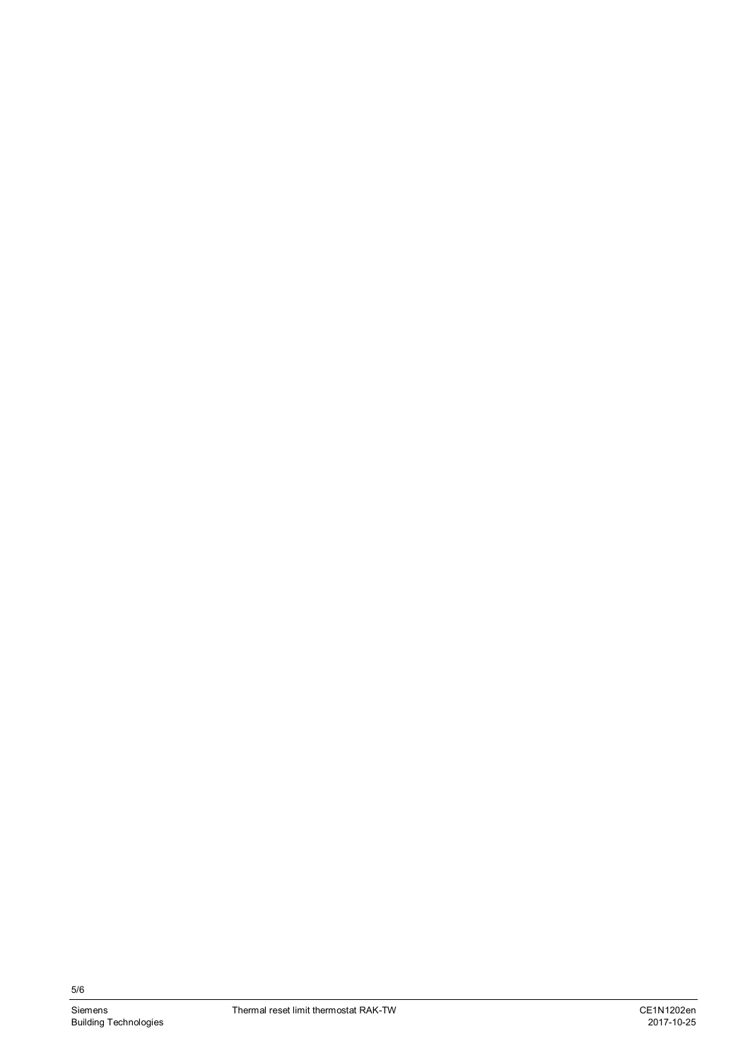5/6